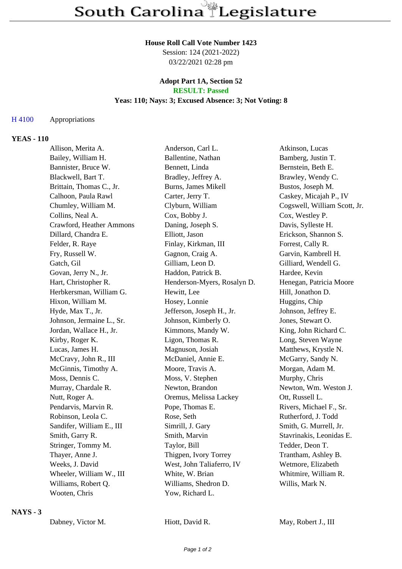#### **House Roll Call Vote Number 1423**

Session: 124 (2021-2022) 03/22/2021 02:28 pm

#### **Adopt Part 1A, Section 52 RESULT: Passed**

## **Yeas: 110; Nays: 3; Excused Absence: 3; Not Voting: 8**

### H 4100 Appropriations

## **YEAS - 110**

| Allison, Merita A.        | Anderson, Carl L.           | Atkinson, Lucas              |
|---------------------------|-----------------------------|------------------------------|
| Bailey, William H.        | Ballentine, Nathan          | Bamberg, Justin T.           |
| Bannister, Bruce W.       | Bennett, Linda              | Bernstein, Beth E.           |
| Blackwell, Bart T.        | Bradley, Jeffrey A.         | Brawley, Wendy C.            |
| Brittain, Thomas C., Jr.  | Burns, James Mikell         | Bustos, Joseph M.            |
| Calhoon, Paula Rawl       | Carter, Jerry T.            | Caskey, Micajah P., IV       |
| Chumley, William M.       | Clyburn, William            | Cogswell, William Scott, Jr. |
| Collins, Neal A.          | Cox, Bobby J.               | Cox, Westley P.              |
| Crawford, Heather Ammons  | Daning, Joseph S.           | Davis, Sylleste H.           |
| Dillard, Chandra E.       | Elliott, Jason              | Erickson, Shannon S.         |
| Felder, R. Raye           | Finlay, Kirkman, III        | Forrest, Cally R.            |
| Fry, Russell W.           | Gagnon, Craig A.            | Garvin, Kambrell H.          |
| Gatch, Gil                | Gilliam, Leon D.            | Gilliard, Wendell G.         |
| Govan, Jerry N., Jr.      | Haddon, Patrick B.          | Hardee, Kevin                |
| Hart, Christopher R.      | Henderson-Myers, Rosalyn D. | Henegan, Patricia Moore      |
| Herbkersman, William G.   | Hewitt, Lee                 | Hill, Jonathon D.            |
| Hixon, William M.         | Hosey, Lonnie               | Huggins, Chip                |
| Hyde, Max T., Jr.         | Jefferson, Joseph H., Jr.   | Johnson, Jeffrey E.          |
| Johnson, Jermaine L., Sr. | Johnson, Kimberly O.        | Jones, Stewart O.            |
| Jordan, Wallace H., Jr.   | Kimmons, Mandy W.           | King, John Richard C.        |
| Kirby, Roger K.           | Ligon, Thomas R.            | Long, Steven Wayne           |
| Lucas, James H.           | Magnuson, Josiah            | Matthews, Krystle N.         |
| McCravy, John R., III     | McDaniel, Annie E.          | McGarry, Sandy N.            |
| McGinnis, Timothy A.      | Moore, Travis A.            | Morgan, Adam M.              |
| Moss, Dennis C.           | Moss, V. Stephen            | Murphy, Chris                |
| Murray, Chardale R.       | Newton, Brandon             | Newton, Wm. Weston J.        |
| Nutt, Roger A.            | Oremus, Melissa Lackey      | Ott, Russell L.              |
| Pendarvis, Marvin R.      | Pope, Thomas E.             | Rivers, Michael F., Sr.      |
| Robinson, Leola C.        | Rose, Seth                  | Rutherford, J. Todd          |
| Sandifer, William E., III | Simrill, J. Gary            | Smith, G. Murrell, Jr.       |
| Smith, Garry R.           | Smith, Marvin               | Stavrinakis, Leonidas E.     |
| Stringer, Tommy M.        | Taylor, Bill                | Tedder, Deon T.              |
| Thayer, Anne J.           | Thigpen, Ivory Torrey       | Trantham, Ashley B.          |
| Weeks, J. David           | West, John Taliaferro, IV   | Wetmore, Elizabeth           |
| Wheeler, William W., III  | White, W. Brian             | Whitmire, William R.         |
| Williams, Robert Q.       | Williams, Shedron D.        | Willis, Mark N.              |
| Wooten, Chris             | Yow, Richard L.             |                              |

#### **NAYS - 3**

Hiott, David R. May, Robert J., III